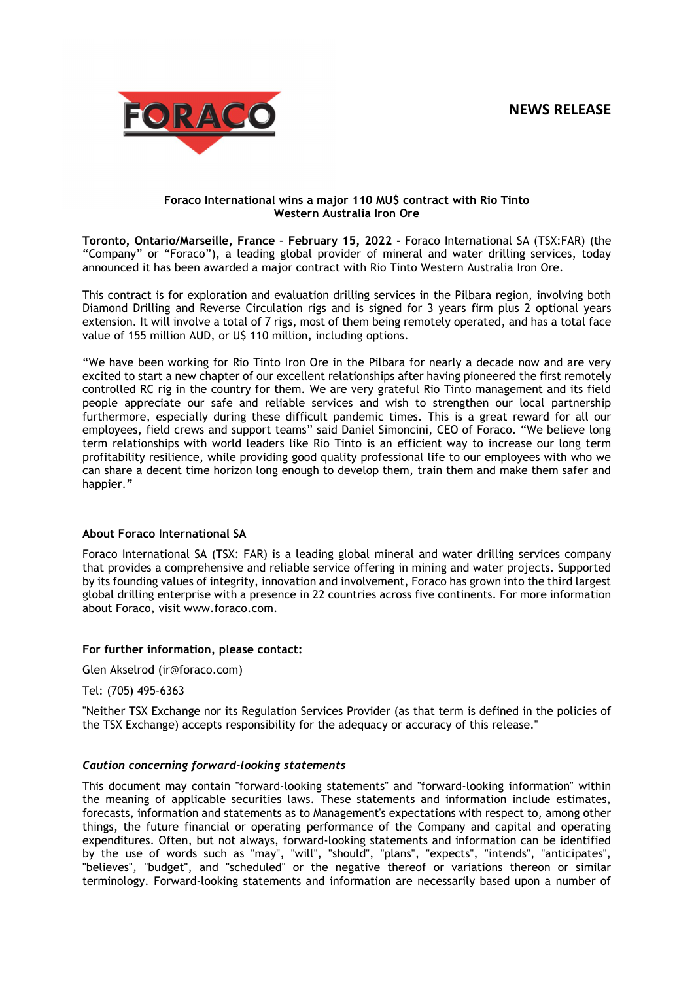

## Foraco International wins a major 110 MU\$ contract with Rio Tinto Western Australia Iron Ore

Toronto, Ontario/Marseille, France – February 15, 2022 - Foraco International SA (TSX:FAR) (the "Company" or "Foraco"), a leading global provider of mineral and water drilling services, today announced it has been awarded a major contract with Rio Tinto Western Australia Iron Ore.

This contract is for exploration and evaluation drilling services in the Pilbara region, involving both Diamond Drilling and Reverse Circulation rigs and is signed for 3 years firm plus 2 optional years extension. It will involve a total of 7 rigs, most of them being remotely operated, and has a total face value of 155 million AUD, or U\$ 110 million, including options.

"We have been working for Rio Tinto Iron Ore in the Pilbara for nearly a decade now and are very excited to start a new chapter of our excellent relationships after having pioneered the first remotely controlled RC rig in the country for them. We are very grateful Rio Tinto management and its field people appreciate our safe and reliable services and wish to strengthen our local partnership furthermore, especially during these difficult pandemic times. This is a great reward for all our employees, field crews and support teams" said Daniel Simoncini, CEO of Foraco. "We believe long term relationships with world leaders like Rio Tinto is an efficient way to increase our long term profitability resilience, while providing good quality professional life to our employees with who we can share a decent time horizon long enough to develop them, train them and make them safer and happier."

## About Foraco International SA

Foraco International SA (TSX: FAR) is a leading global mineral and water drilling services company that provides a comprehensive and reliable service offering in mining and water projects. Supported by its founding values of integrity, innovation and involvement, Foraco has grown into the third largest global drilling enterprise with a presence in 22 countries across five continents. For more information about Foraco, visit www.foraco.com.

For further information, please contact:

Glen Akselrod (ir@foraco.com)

Tel: (705) 495-6363

"Neither TSX Exchange nor its Regulation Services Provider (as that term is defined in the policies of the TSX Exchange) accepts responsibility for the adequacy or accuracy of this release."

## Caution concerning forward-looking statements

This document may contain "forward-looking statements" and "forward-looking information" within the meaning of applicable securities laws. These statements and information include estimates, forecasts, information and statements as to Management's expectations with respect to, among other things, the future financial or operating performance of the Company and capital and operating expenditures. Often, but not always, forward-looking statements and information can be identified by the use of words such as "may", "will", "should", "plans", "expects", "intends", "anticipates", "believes", "budget", and "scheduled" or the negative thereof or variations thereon or similar terminology. Forward-looking statements and information are necessarily based upon a number of